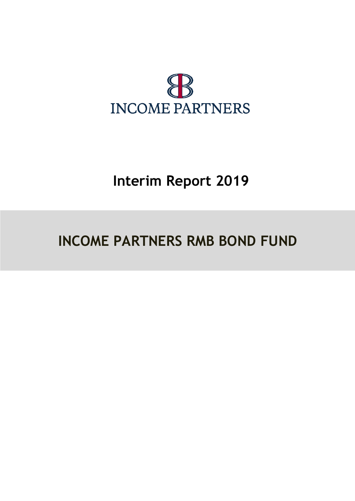

# **Interim Report 2019**

# **INCOME PARTNERS RMB BOND FUND**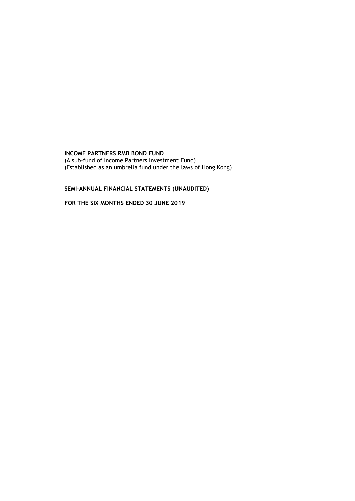(A sub–fund of Income Partners Investment Fund) (Established as an umbrella fund under the laws of Hong Kong)

# **SEMI-ANNUAL FINANCIAL STATEMENTS (UNAUDITED)**

**FOR THE SIX MONTHS ENDED 30 JUNE 2019**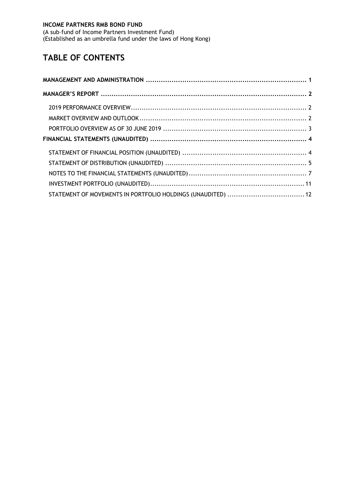(A sub–fund of Income Partners Investment Fund) (Established as an umbrella fund under the laws of Hong Kong)

# **TABLE OF CONTENTS**

| STATEMENT OF MOVEMENTS IN PORTFOLIO HOLDINGS (UNAUDITED)  12 |  |
|--------------------------------------------------------------|--|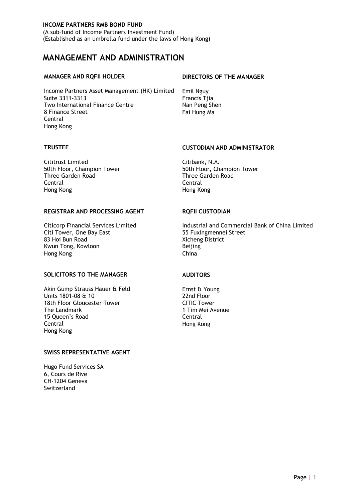(A sub–fund of Income Partners Investment Fund) (Established as an umbrella fund under the laws of Hong Kong)

# <span id="page-3-0"></span>**MANAGEMENT AND ADMINISTRATION**

Income Partners Asset Management (HK) Limited Emil Nguy Suite 3311-3313 Francis Tjia Two International Finance Centre Nan Peng Shen 8 Finance Street Fai Hung Ma Central Hong Kong

#### **MANAGER AND RQFII HOLDER DIRECTORS OF THE MANAGER**

Cititrust Limited Citibank, N.A. Three Garden Road Central Central Hong Kong Hong Kong

#### **REGISTRAR AND PROCESSING AGENT RQFII CUSTODIAN**

Citi Tower, One Bay East<br>83 Hoi Bun Road Kwun Tong, Kowloon Beijing Hong Kong China

#### **SOLICITORS TO THE MANAGER AUDITORS**

Akin Gump Strauss Hauer & Feld Ernst & Young<br>
Units 1801-08 & 10<br>
22nd Floor Units 1801-08 & 10 22nd Floor 18th Floor Gloucester Tower<br>The Landmark 15 Oueen's Road Central Central Hong Kong Hong Kong

#### **SWISS REPRESENTATIVE AGENT**

Hugo Fund Services SA 6, Cours de Rive CH-1204 Geneva Switzerland

### **TRUSTEE CUSTODIAN AND ADMINISTRATOR**

50th Floor, Champion Tower<br>Three Garden Road

Citicorp Financial Services Limited Industrial and Commercial Bank of China Limited<br>
Industrial and Commercial Bank of China Limited<br>
55 Fuxingmennei Street **Xicheng District** 

1 Tim Mei Avenue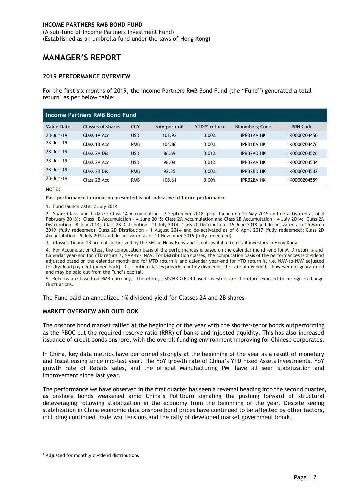(A sub–fund of Income Partners Investment Fund) (Established as an umbrella fund under the laws of Hong Kong)

# <span id="page-4-0"></span>**MANAGER'S REPORT**

#### <span id="page-4-1"></span>**2019 PERFORMANCE OVERVIEW**

For the first six months of 2019, the Income Partners RMB Bond Fund (the "Fund") generated a total return<sup>1</sup> as per below table:

| Income Partners RMB Bond Fund |                          |            |              |                     |                       |                  |
|-------------------------------|--------------------------|------------|--------------|---------------------|-----------------------|------------------|
| <b>Value Date</b>             | <b>Classes of shares</b> | <b>CCY</b> | NAV per unit | <b>YTD % return</b> | <b>Bloomberg Code</b> | <b>ISIN Code</b> |
| 28-Jun-19                     | Class 1A Acc             | <b>USD</b> | 101.92       | 0.00%               | <b>IPRB1AA HK</b>     | HK0000204450     |
| 28-Jun-19                     | Class 1B Acc             | <b>RMB</b> | 104.86       | 0.00%               | <b>IPRB1BA HK</b>     | HK0000204476     |
| 28-Jun-19                     | Class 2A Dis             | <b>USD</b> | 86.69        | 0.01%               | <b>IPRB2AD HK</b>     | HK0000204526     |
| 28-Jun-19                     | Class 2A Acc             | <b>USD</b> | 98.04        | 0.01%               | <b>IPRB2AA HK</b>     | HK0000204534     |
| 28-Jun-19                     | Class 2B Dis             | <b>RMB</b> | 92.35        | 0.00%               | <b>IPRB2BD HK</b>     | HK0000204542     |
| 28-Jun-19                     | Class 2B Acc             | <b>RMB</b> | 108.61       | 0.00%               | <b>IPRB2BA HK</b>     | HK0000204559     |

#### **NOTE:**

**Past performance information presented is not indicative of future performance**

1. Fund launch date: 2 July 2014

2. Share Class launch date : Class 1A Accumulation - 3 September 2018 (prior launch on 15 May 2015 and de-activated as of 4 February 2016); Class 1B Accumulation - 4 June 2015; Class 2A Accumulation and Class 2B Accumulation – 4 July 2014; Class 2A Distribution – 8 July 2014; Class 2B Distribution – 11 July 2014; Class 2C Distribution – 15 June 2018 and de-activated as of 5 March 2019 (fully redeemed); Class 2D Distribution - 1 August 2014 and de-activated as of 6 April 2017 (fully redeemed); Class 2D Accumulation - 9 July 2014 and de-activated as of 11 November 2016 (fully redeemed).

3. Classes 1A and 1B are not authorized by the SFC in Hong Kong and is not available to retail investors in Hong Kong.

4. For Accumulation Class, the computation basis of the performances is based on the calendar month-end for MTD return % and Calendar year-end for YTD return %, NAV-to- NAV. For Distribution classes, the computation basis of the performances is dividend adjusted based on the calendar month-end for MTD return % and calendar year-end for YTD return %, i.e. NAV-to-NAV adjusted for dividend payment (added back). Distribution classes provide monthly dividends, the rate of dividend is however not guaranteed and may be paid out from the Fund's capital.

5. Returns are based on RMB currency. Therefore, USD/HKD/EUR-based investors are therefore exposed to foreign exchange fluctuations.

The Fund paid an annualized 1% dividend yield for Classes 2A and 2B shares

#### <span id="page-4-2"></span>**MARKET OVERVIEW AND OUTLOOK**

The onshore bond market rallied at the beginning of the year with the shorter-tenor bonds outperforming as the PBOC cut the required reserve ratio (RRR) of banks and injected liquidity. This has also increased issuance of credit bonds onshore, with the overall funding environment improving for Chinese corporates.

In China, key data metrics have performed strongly at the beginning of the year as a result of monetary and fiscal easing since mid-last year. The YoY growth rate of China's YTD Fixed Assets Investments, YoY growth rate of Retails sales, and the official Manufacturing PMI have all seen stabilization and improvement since last year.

The performance we have observed in the first quarter has seen a reversal heading into the second quarter, as onshore bonds weakened amid China's Politburo signaling the pushing forward of structural deleveraging following stabilization in the economy from the beginning of the year. Despite seeing stabilization in China economic data onshore bond prices have continued to be affected by other factors, including continued trade war tensions and the rally of developed market government bonds.

<sup>-</sup><sup>1</sup> Adjusted for monthly dividend distributions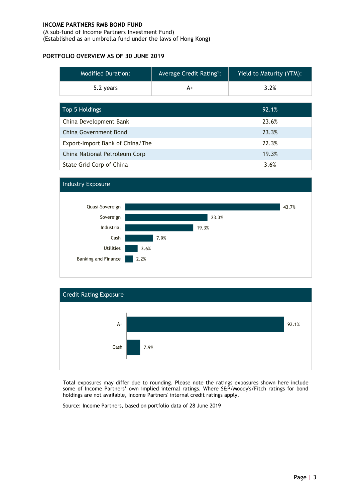(A sub–fund of Income Partners Investment Fund) (Established as an umbrella fund under the laws of Hong Kong)

### <span id="page-5-0"></span>**PORTFOLIO OVERVIEW AS OF 30 JUNE 2019**

| <b>Modified Duration:</b> | Average Credit Rating <sup>1</sup> : | Yield to Maturity (YTM): |
|---------------------------|--------------------------------------|--------------------------|
| 5.2 years                 | A+                                   | 3.2%                     |

| Top 5 Holdings                  | 92.1% |
|---------------------------------|-------|
| China Development Bank          | 23.6% |
| China Government Bond           | 23.3% |
| Export-Import Bank of China/The | 22.3% |
| China National Petroleum Corp   | 19.3% |
| State Grid Corp of China        | 3.6%  |





Total exposures may differ due to rounding. Please note the ratings exposures shown here include some of Income Partners' own implied internal ratings. Where S&P/Moody's/Fitch ratings for bond holdings are not available, Income Partners' internal credit ratings apply.

Source: Income Partners, based on portfolio data of 28 June 2019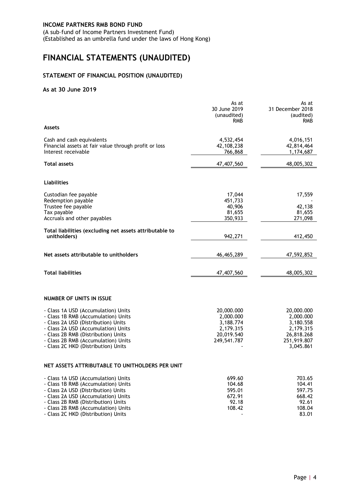(A sub–fund of Income Partners Investment Fund) (Established as an umbrella fund under the laws of Hong Kong)

# <span id="page-6-0"></span>**FINANCIAL STATEMENTS (UNAUDITED)**

### <span id="page-6-1"></span>**STATEMENT OF FINANCIAL POSITION (UNAUDITED)**

#### **As at 30 June 2019**

|                                                                                                                                                                                                                                                                               | As at<br>30 June 2019<br>(unaudited)<br><b>RMB</b>                             | As at<br>31 December 2018<br>(audited)<br><b>RMB</b>                                        |
|-------------------------------------------------------------------------------------------------------------------------------------------------------------------------------------------------------------------------------------------------------------------------------|--------------------------------------------------------------------------------|---------------------------------------------------------------------------------------------|
| <b>Assets</b>                                                                                                                                                                                                                                                                 |                                                                                |                                                                                             |
| Cash and cash equivalents<br>Financial assets at fair value through profit or loss<br>Interest receivable                                                                                                                                                                     | 4,532,454<br>42,108,238<br>766,868                                             | 4,016,151<br>42,814,464<br>1,174,687                                                        |
| Total assets                                                                                                                                                                                                                                                                  | 47,407,560                                                                     | 48,005,302                                                                                  |
| Liabilities                                                                                                                                                                                                                                                                   |                                                                                |                                                                                             |
| Custodian fee payable<br>Redemption payable<br>Trustee fee payable<br>Tax payable<br>Accruals and other payables                                                                                                                                                              | 17,044<br>451,733<br>40,906<br>81,655<br>350,933                               | 17,559<br>42,138<br>81,655<br>271,098                                                       |
| Total liabilities (excluding net assets attributable to<br>unitholders)                                                                                                                                                                                                       | 942,271                                                                        | 412,450                                                                                     |
| Net assets attributable to unitholders                                                                                                                                                                                                                                        | 46,465,289                                                                     | 47,592,852                                                                                  |
| <b>Total liabilities</b>                                                                                                                                                                                                                                                      | 47,407,560                                                                     | 48,005,302                                                                                  |
| NUMBER OF UNITS IN ISSUE                                                                                                                                                                                                                                                      |                                                                                |                                                                                             |
| - Class 1A USD (Accumulation) Units<br>- Class 1B RMB (Accumulation) Units<br>- Class 2A USD (Distribution) Units<br>- Class 2A USD (Accumulation) Units<br>- Class 2B RMB (Distribution) Units<br>- Class 2B RMB (Accumulation) Units<br>- Class 2C HKD (Distribution) Units | 20,000.000<br>2,000.000<br>3,188.774<br>2,179.315<br>20,019.540<br>249,541.787 | 20,000.000<br>2,000.000<br>3,180.558<br>2,179.315<br>26,818.268<br>251,919.807<br>3,045.861 |
| NET ASSETS ATTRIBUTABLE TO UNITHOLDERS PER UNIT                                                                                                                                                                                                                               |                                                                                |                                                                                             |
| - Class 1A USD (Accumulation) Units<br>- Class 1B RMB (Accumulation) Units<br>- Class 2A USD (Distribution) Units<br>- Class 2A USD (Accumulation) Units<br>- Class 2B RMB (Distribution) Units<br>- Class 2B RMB (Accumulation) Units<br>- Class 2C HKD (Distribution) Units | 699.60<br>104.68<br>595.01<br>672.91<br>92.18<br>108.42                        | 703.65<br>104.41<br>597.75<br>668.42<br>92.61<br>108.04<br>83.01                            |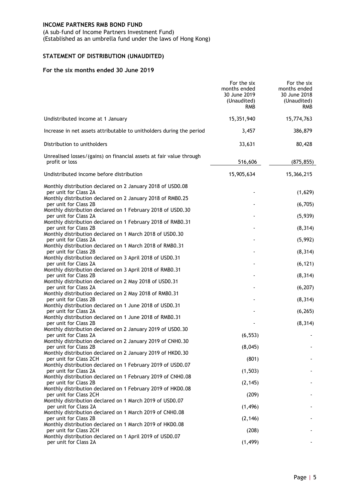(A sub–fund of Income Partners Investment Fund)

(Established as an umbrella fund under the laws of Hong Kong)

# <span id="page-7-0"></span>**STATEMENT OF DISTRIBUTION (UNAUDITED)**

#### **For the six months ended 30 June 2019**

|                                                                                       | For the six<br>months ended<br>30 June 2019<br>(Unaudited)<br><b>RMB</b> | For the six<br>months ended<br>30 June 2018<br>(Unaudited)<br><b>RMB</b> |
|---------------------------------------------------------------------------------------|--------------------------------------------------------------------------|--------------------------------------------------------------------------|
| Undistributed income at 1 January                                                     | 15,351,940                                                               | 15,774,763                                                               |
| Increase in net assets attributable to unitholders during the period                  | 3,457                                                                    | 386,879                                                                  |
| Distribution to unitholders                                                           | 33,631                                                                   | 80,428                                                                   |
| Unrealised losses/(gains) on financial assets at fair value through<br>profit or loss | 516,606                                                                  | (875, 855)                                                               |
| Undistributed income before distribution                                              | 15,905,634                                                               | 15,366,215                                                               |
| Monthly distribution declared on 2 January 2018 of USD0.08<br>per unit for Class 2A   |                                                                          | (1,629)                                                                  |
| Monthly distribution declared on 2 January 2018 of RMB0.25                            |                                                                          |                                                                          |
| per unit for Class 2B<br>Monthly distribution declared on 1 February 2018 of USD0.30  |                                                                          | (6, 705)                                                                 |
| per unit for Class 2A                                                                 |                                                                          | (5,939)                                                                  |
| Monthly distribution declared on 1 February 2018 of RMB0.31<br>per unit for Class 2B  |                                                                          | (8, 314)                                                                 |
| Monthly distribution declared on 1 March 2018 of USD0.30                              |                                                                          |                                                                          |
| per unit for Class 2A<br>Monthly distribution declared on 1 March 2018 of RMB0.31     |                                                                          | (5,992)                                                                  |
| per unit for Class 2B                                                                 |                                                                          | (8, 314)                                                                 |
| Monthly distribution declared on 3 April 2018 of USD0.31<br>per unit for Class 2A     |                                                                          | (6, 121)                                                                 |
| Monthly distribution declared on 3 April 2018 of RMB0.31                              |                                                                          |                                                                          |
| per unit for Class 2B<br>Monthly distribution declared on 2 May 2018 of USD0.31       |                                                                          | (8, 314)                                                                 |
| per unit for Class 2A                                                                 |                                                                          | (6, 207)                                                                 |
| Monthly distribution declared on 2 May 2018 of RMB0.31                                |                                                                          |                                                                          |
| per unit for Class 2B<br>Monthly distribution declared on 1 June 2018 of USD0.31      |                                                                          | (8, 314)                                                                 |
| per unit for Class 2A                                                                 |                                                                          | (6, 265)                                                                 |
| Monthly distribution declared on 1 June 2018 of RMB0.31<br>per unit for Class 2B      |                                                                          | (8, 314)                                                                 |
| Monthly distribution declared on 2 January 2019 of USD0.30                            |                                                                          |                                                                          |
| per unit for Class 2A<br>Monthly distribution declared on 2 January 2019 of CNH0.30   | (6, 553)                                                                 |                                                                          |
| per unit for Class 2B                                                                 | (8,045)                                                                  |                                                                          |
| Monthly distribution declared on 2 January 2019 of HKD0.30                            |                                                                          |                                                                          |
| per unit for Class 2CH<br>Monthly distribution declared on 1 February 2019 of USD0.07 | (801)                                                                    |                                                                          |
| per unit for Class 2A                                                                 | (1, 503)                                                                 |                                                                          |
| Monthly distribution declared on 1 February 2019 of CNH0.08<br>per unit for Class 2B  | (2, 145)                                                                 |                                                                          |
| Monthly distribution declared on 1 February 2019 of HKD0.08                           |                                                                          |                                                                          |
| per unit for Class 2CH<br>Monthly distribution declared on 1 March 2019 of USD0.07    | (209)                                                                    |                                                                          |
| per unit for Class 2A                                                                 | (1, 496)                                                                 |                                                                          |
| Monthly distribution declared on 1 March 2019 of CNH0.08                              |                                                                          |                                                                          |
| per unit for Class 2B<br>Monthly distribution declared on 1 March 2019 of HKD0.08     | (2, 146)                                                                 |                                                                          |
| per unit for Class 2CH                                                                | (208)                                                                    |                                                                          |
| Monthly distribution declared on 1 April 2019 of USD0.07<br>per unit for Class 2A     | (1, 499)                                                                 |                                                                          |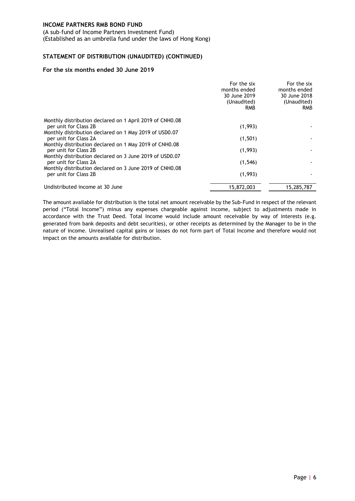(A sub–fund of Income Partners Investment Fund) (Established as an umbrella fund under the laws of Hong Kong)

#### **STATEMENT OF DISTRIBUTION (UNAUDITED) (CONTINUED)**

#### **For the six months ended 30 June 2019**

|                                                                                  | For the six<br>months ended<br>30 June 2019<br>(Unaudited)<br><b>RMB</b> | For the six<br>months ended<br>30 June 2018<br>(Unaudited)<br><b>RMB</b> |
|----------------------------------------------------------------------------------|--------------------------------------------------------------------------|--------------------------------------------------------------------------|
| Monthly distribution declared on 1 April 2019 of CNH0.08                         |                                                                          |                                                                          |
| per unit for Class 2B                                                            | (1,993)                                                                  |                                                                          |
| Monthly distribution declared on 1 May 2019 of USD0.07<br>per unit for Class 2A  | (1, 501)                                                                 |                                                                          |
| Monthly distribution declared on 1 May 2019 of CNH0.08                           |                                                                          |                                                                          |
| per unit for Class 2B                                                            | (1,993)                                                                  |                                                                          |
| Monthly distribution declared on 3 June 2019 of USD0.07                          |                                                                          |                                                                          |
| per unit for Class 2A                                                            | (1, 546)                                                                 |                                                                          |
| Monthly distribution declared on 3 June 2019 of CNH0.08<br>per unit for Class 2B | (1,993)                                                                  |                                                                          |
| Undistributed income at 30 June                                                  | 15,872,003                                                               | 15,285,787                                                               |

The amount available for distribution is the total net amount receivable by the Sub-Fund in respect of the relevant period ("Total Income") minus any expenses chargeable against income, subject to adjustments made in accordance with the Trust Deed. Total Income would include amount receivable by way of interests (e.g. generated from bank deposits and debt securities), or other receipts as determined by the Manager to be in the nature of income. Unrealised capital gains or losses do not form part of Total Income and therefore would not impact on the amounts available for distribution.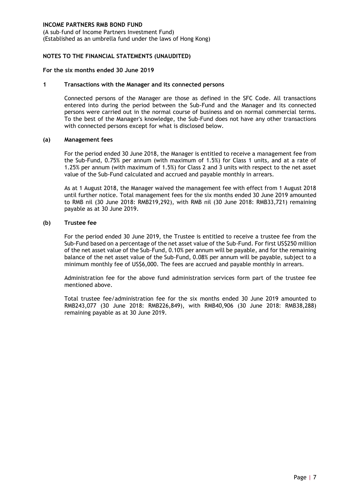(A sub–fund of Income Partners Investment Fund) (Established as an umbrella fund under the laws of Hong Kong)

#### <span id="page-9-0"></span>**NOTES TO THE FINANCIAL STATEMENTS (UNAUDITED)**

#### **For the six months ended 30 June 2019**

#### **1 Transactions with the Manager and its connected persons**

Connected persons of the Manager are those as defined in the SFC Code. All transactions entered into during the period between the Sub-Fund and the Manager and its connected persons were carried out in the normal course of business and on normal commercial terms. To the best of the Manager's knowledge, the Sub-Fund does not have any other transactions with connected persons except for what is disclosed below.

#### **(a) Management fees**

For the period ended 30 June 2018, the Manager is entitled to receive a management fee from the Sub-Fund, 0.75% per annum (with maximum of 1.5%) for Class 1 units, and at a rate of 1.25% per annum (with maximum of 1.5%) for Class 2 and 3 units with respect to the net asset value of the Sub-Fund calculated and accrued and payable monthly in arrears.

As at 1 August 2018, the Manager waived the management fee with effect from 1 August 2018 until further notice. Total management fees for the six months ended 30 June 2019 amounted to RMB nil (30 June 2018: RMB219,292), with RMB nil (30 June 2018: RMB33,721) remaining payable as at 30 June 2019.

#### **(b) Trustee fee**

For the period ended 30 June 2019, the Trustee is entitled to receive a trustee fee from the Sub-Fund based on a percentage of the net asset value of the Sub-Fund. For first US\$250 million of the net asset value of the Sub-Fund, 0.10% per annum will be payable, and for the remaining balance of the net asset value of the Sub-Fund, 0.08% per annum will be payable, subject to a minimum monthly fee of US\$6,000. The fees are accrued and payable monthly in arrears.

Administration fee for the above fund administration services form part of the trustee fee mentioned above.

Total trustee fee/administration fee for the six months ended 30 June 2019 amounted to RMB243,077 (30 June 2018: RMB226,849), with RMB40,906 (30 June 2018: RMB38,288) remaining payable as at 30 June 2019.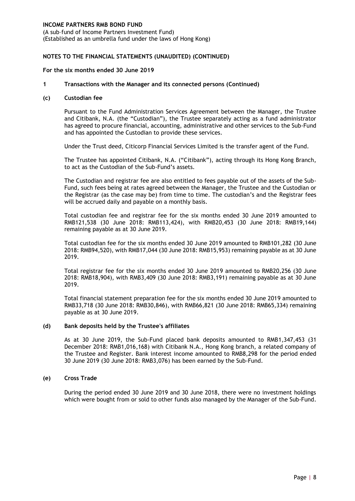(A sub–fund of Income Partners Investment Fund) (Established as an umbrella fund under the laws of Hong Kong)

#### **NOTES TO THE FINANCIAL STATEMENTS (UNAUDITED) (CONTINUED)**

#### **For the six months ended 30 June 2019**

#### **1 Transactions with the Manager and its connected persons (Continued)**

#### **(c) Custodian fee**

Pursuant to the Fund Administration Services Agreement between the Manager, the Trustee and Citibank, N.A. (the "Custodian"), the Trustee separately acting as a fund administrator has agreed to procure financial, accounting, administrative and other services to the Sub-Fund and has appointed the Custodian to provide these services.

Under the Trust deed, Citicorp Financial Services Limited is the transfer agent of the Fund.

The Trustee has appointed Citibank, N.A. ("Citibank"), acting through its Hong Kong Branch, to act as the Custodian of the Sub-Fund's assets.

The Custodian and registrar fee are also entitled to fees payable out of the assets of the Sub-Fund, such fees being at rates agreed between the Manager, the Trustee and the Custodian or the Registrar (as the case may be) from time to time. The custodian's and the Registrar fees will be accrued daily and payable on a monthly basis.

Total custodian fee and registrar fee for the six months ended 30 June 2019 amounted to RMB121,538 (30 June 2018: RMB113,424), with RMB20,453 (30 June 2018: RMB19,144) remaining payable as at 30 June 2019.

Total custodian fee for the six months ended 30 June 2019 amounted to RMB101,282 (30 June 2018: RMB94,520), with RMB17,044 (30 June 2018: RMB15,953) remaining payable as at 30 June 2019.

Total registrar fee for the six months ended 30 June 2019 amounted to RMB20,256 (30 June 2018: RMB18,904), with RMB3,409 (30 June 2018: RMB3,191) remaining payable as at 30 June 2019.

Total financial statement preparation fee for the six months ended 30 June 2019 amounted to RMB33,718 (30 June 2018: RMB30,846), with RMB66,821 (30 June 2018: RMB65,334) remaining payable as at 30 June 2019.

#### **(d) Bank deposits held by the Trustee's affiliates**

As at 30 June 2019, the Sub-Fund placed bank deposits amounted to RMB1,347,453 (31 December 2018: RMB1,016,168) with Citibank N.A., Hong Kong branch, a related company of the Trustee and Register. Bank interest income amounted to RMB8,298 for the period ended 30 June 2019 (30 June 2018: RMB3,076) has been earned by the Sub-Fund.

#### **(e) Cross Trade**

During the period ended 30 June 2019 and 30 June 2018, there were no investment holdings which were bought from or sold to other funds also managed by the Manager of the Sub-Fund.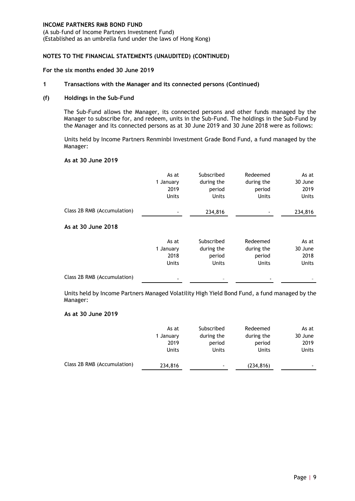(A sub–fund of Income Partners Investment Fund) (Established as an umbrella fund under the laws of Hong Kong)

#### **NOTES TO THE FINANCIAL STATEMENTS (UNAUDITED) (CONTINUED)**

#### **For the six months ended 30 June 2019**

#### **1 Transactions with the Manager and its connected persons (Continued)**

#### **(f) Holdings in the Sub-Fund**

The Sub-Fund allows the Manager, its connected persons and other funds managed by the Manager to subscribe for, and redeem, units in the Sub-Fund. The holdings in the Sub-Fund by the Manager and its connected persons as at 30 June 2019 and 30 June 2018 were as follows:

Units held by Income Partners Renminbi Investment Grade Bond Fund, a fund managed by the Manager:

#### **As at 30 June 2019**

|                             | As at<br>1 January<br>2019<br><b>Units</b> | Subscribed<br>during the<br>period<br>Units        | Redeemed<br>during the<br>period<br><b>Units</b> | As at<br>30 June<br>2019<br><b>Units</b> |
|-----------------------------|--------------------------------------------|----------------------------------------------------|--------------------------------------------------|------------------------------------------|
| Class 2B RMB (Accumulation) |                                            | 234,816                                            |                                                  | 234,816                                  |
| As at 30 June 2018          |                                            |                                                    |                                                  |                                          |
|                             | As at<br>1 January<br>2018<br><b>Units</b> | Subscribed<br>during the<br>period<br><b>Units</b> | Redeemed<br>during the<br>period<br><b>Units</b> | As at<br>30 June<br>2018<br><b>Units</b> |
| Class 2B RMB (Accumulation) |                                            |                                                    |                                                  |                                          |

Units held by Income Partners Managed Volatility High Yield Bond Fund, a fund managed by the Manager:

#### **As at 30 June 2019**

|                             | As at<br>1 January | Subscribed<br>during the | Redeemed<br>during the | As at<br>30 June |
|-----------------------------|--------------------|--------------------------|------------------------|------------------|
|                             | 2019               | period                   | period                 | 2019             |
|                             | <b>Units</b>       | Units                    | Units                  | <b>Units</b>     |
| Class 2B RMB (Accumulation) | 234,816            | ٠                        | (234, 816)             | $\sim$           |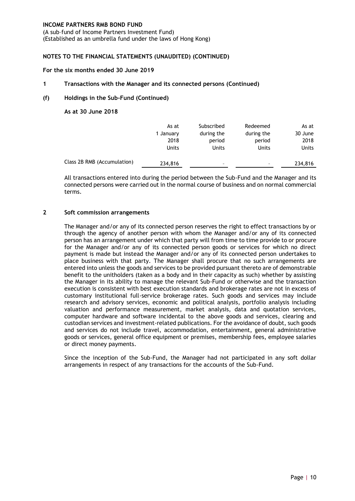(A sub–fund of Income Partners Investment Fund) (Established as an umbrella fund under the laws of Hong Kong)

#### **NOTES TO THE FINANCIAL STATEMENTS (UNAUDITED) (CONTINUED)**

#### **For the six months ended 30 June 2019**

#### **1 Transactions with the Manager and its connected persons (Continued)**

#### **(f) Holdings in the Sub-Fund (Continued)**

**As at 30 June 2018**

|                             | As at        | Subscribed | Redeemed   | As at        |
|-----------------------------|--------------|------------|------------|--------------|
|                             | 1 January    | during the | during the | 30 June      |
|                             | 2018         | period     | period     | 2018         |
|                             | <b>Units</b> | Units      | Units      | <b>Units</b> |
| Class 2B RMB (Accumulation) | 234,816      | ۰          | ۰.         | 234,816      |

All transactions entered into during the period between the Sub-Fund and the Manager and its connected persons were carried out in the normal course of business and on normal commercial terms.

#### **2 Soft commission arrangements**

The Manager and/or any of its connected person reserves the right to effect transactions by or through the agency of another person with whom the Manager and/or any of its connected person has an arrangement under which that party will from time to time provide to or procure for the Manager and/or any of its connected person goods or services for which no direct payment is made but instead the Manager and/or any of its connected person undertakes to place business with that party. The Manager shall procure that no such arrangements are entered into unless the goods and services to be provided pursuant thereto are of demonstrable benefit to the unitholders (taken as a body and in their capacity as such) whether by assisting the Manager in its ability to manage the relevant Sub-Fund or otherwise and the transaction execution is consistent with best execution standards and brokerage rates are not in excess of customary institutional full-service brokerage rates. Such goods and services may include research and advisory services, economic and political analysis, portfolio analysis including valuation and performance measurement, market analysis, data and quotation services, computer hardware and software incidental to the above goods and services, clearing and custodian services and investment-related publications. For the avoidance of doubt, such goods and services do not include travel, accommodation, entertainment, general administrative goods or services, general office equipment or premises, membership fees, employee salaries or direct money payments.

Since the inception of the Sub-Fund, the Manager had not participated in any soft dollar arrangements in respect of any transactions for the accounts of the Sub-Fund.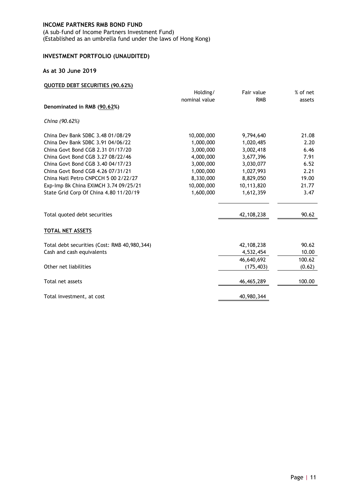(A sub–fund of Income Partners Investment Fund) (Established as an umbrella fund under the laws of Hong Kong)

# <span id="page-13-0"></span>**INVESTMENT PORTFOLIO (UNAUDITED)**

#### **As at 30 June 2019**

|  |  |  | QUOTED DEBT SECURITIES (90.62%) |  |  |
|--|--|--|---------------------------------|--|--|
|--|--|--|---------------------------------|--|--|

|                                              | Holding/      | Fair value | % of net |
|----------------------------------------------|---------------|------------|----------|
|                                              | nominal value | <b>RMB</b> | assets   |
| Denominated in RMB (90.62%)                  |               |            |          |
| China (90.62%)                               |               |            |          |
| China Dev Bank SDBC 3.48 01/08/29            | 10,000,000    | 9,794,640  | 21.08    |
| China Dev Bank SDBC 3.91 04/06/22            | 1,000,000     | 1,020,485  | 2.20     |
| China Govt Bond CGB 2.31 01/17/20            | 3,000,000     | 3,002,418  | 6.46     |
| China Govt Bond CGB 3.27 08/22/46            | 4,000,000     | 3,677,396  | 7.91     |
| China Govt Bond CGB 3.40 04/17/23            | 3,000,000     | 3,030,077  | 6.52     |
| China Govt Bond CGB 4.26 07/31/21            | 1,000,000     | 1,027,993  | 2.21     |
| China Natl Petro CNPCCH 5 00 2/22/27         | 8,330,000     | 8,829,050  | 19.00    |
| Exp-Imp Bk China EXIMCH 3.74 09/25/21        | 10,000,000    | 10,113,820 | 21.77    |
| State Grid Corp Of China 4.80 11/20/19       | 1,600,000     | 1,612,359  | 3.47     |
| Total quoted debt securities                 |               | 42,108,238 | 90.62    |
| TOTAL NET ASSETS                             |               |            |          |
| Total debt securities (Cost: RMB 40,980,344) |               | 42,108,238 | 90.62    |
| Cash and cash equivalents                    |               | 4,532,454  | 10.00    |
|                                              |               | 46,640,692 | 100.62   |
| Other net liabilities                        |               | (175, 403) | (0.62)   |
| Total net assets                             |               | 46,465,289 | 100.00   |
| Total investment, at cost                    |               | 40,980,344 |          |